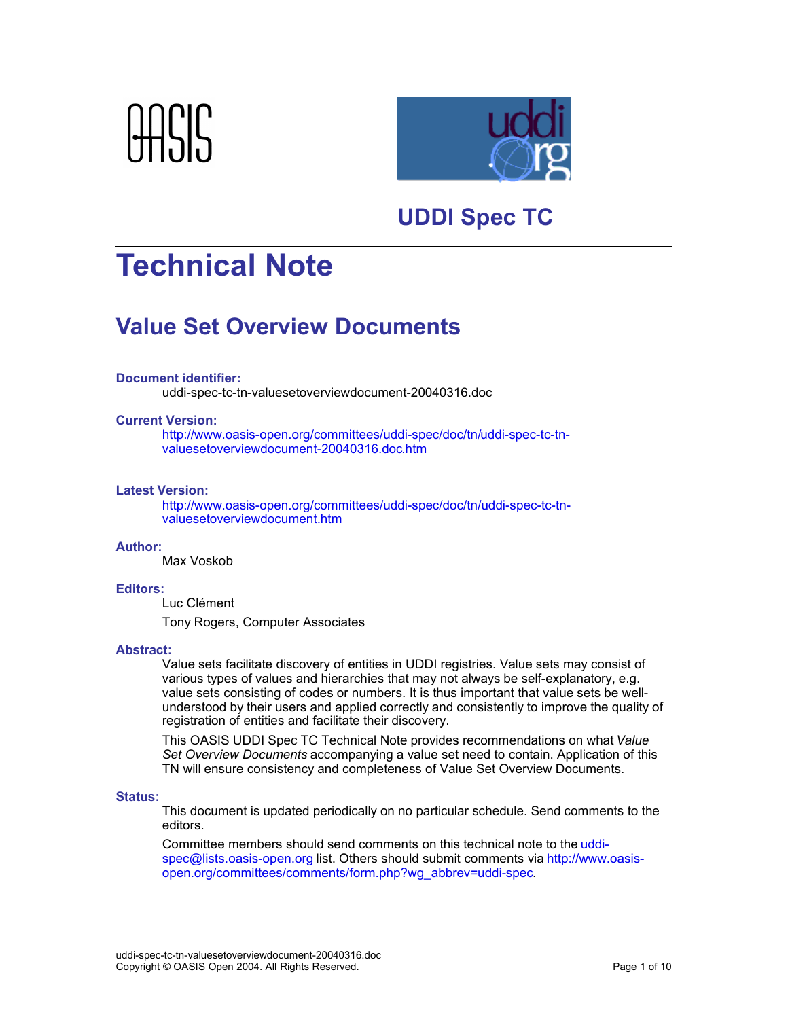



## **UDDI Spec TC**

# **Technical Note**

## **Value Set Overview Documents**

### **Document identifier:**

uddi-spec-tc-tn-valuesetoverviewdocument-20040316.doc

### **Current Version:**

http://www.oasis-open.org/committees/uddi-spec/doc/tn/uddi-spec-tc-tnvaluesetoverviewdocument-20040316.doc.htm

#### **Latest Version:**

http://www.oasis-open.org/committees/uddi-spec/doc/tn/uddi-spec-tc-tnvaluesetoverviewdocument.htm

### **Author:**

Max Voskob

#### **Editors:**

Luc Clément

Tony Rogers, Computer Associates

#### **Abstract:**

Value sets facilitate discovery of entities in UDDI registries. Value sets may consist of various types of values and hierarchies that may not always be self-explanatory, e.g. value sets consisting of codes or numbers. It is thus important that value sets be wellunderstood by their users and applied correctly and consistently to improve the quality of registration of entities and facilitate their discovery.

This OASIS UDDI Spec TC Technical Note provides recommendations on what *Value Set Overview Documents* accompanying a value set need to contain. Application of this TN will ensure consistency and completeness of Value Set Overview Documents.

#### **Status:**

This document is updated periodically on no particular schedule. Send comments to the editors.

Committee members should send comments on this technical note to the uddispec@lists.oasis-open.org list. Others should submit comments via http://www.oasisopen.org/committees/comments/form.php?wg\_abbrev=uddi-spec.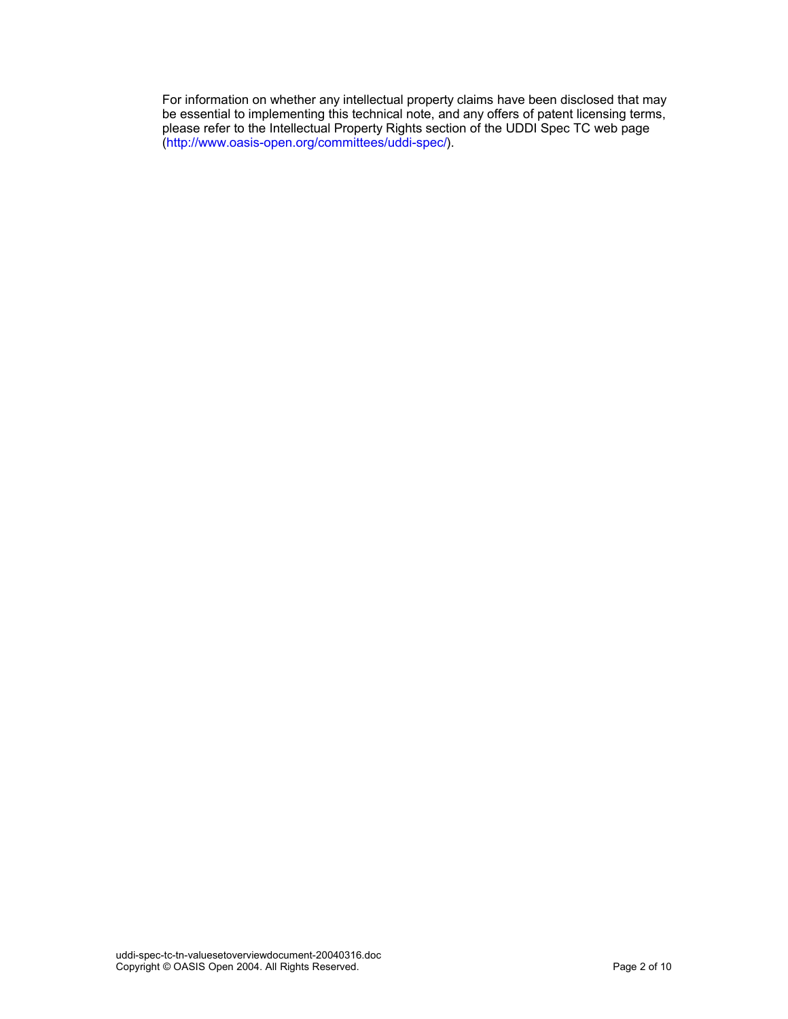For information on whether any intellectual property claims have been disclosed that may be essential to implementing this technical note, and any offers of patent licensing terms, please refer to the Intellectual Property Rights section of the UDDI Spec TC web page (http://www.oasis-open.org/committees/uddi-spec/).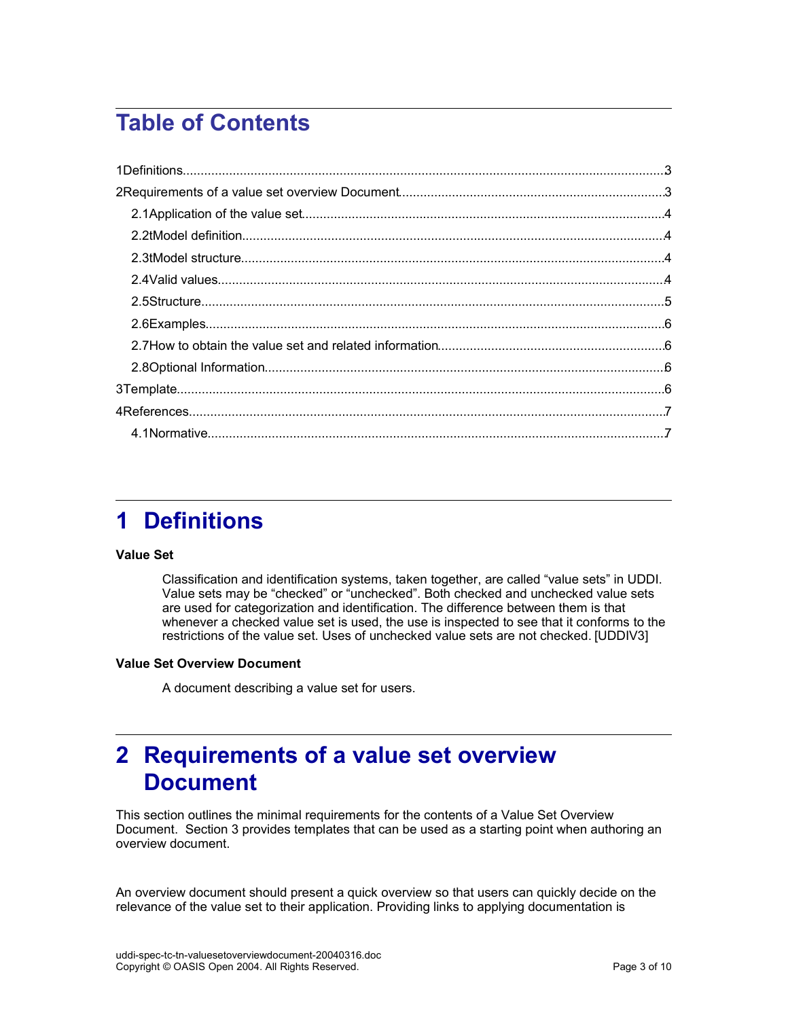## **Table of Contents**

## **1 Definitions**

### **Value Set**

Classification and identification systems, taken together, are called "value sets" in UDDI. Value sets may be "checked" or "unchecked". Both checked and unchecked value sets are used for categorization and identification. The difference between them is that whenever a checked value set is used, the use is inspected to see that it conforms to the restrictions of the value set. Uses of unchecked value sets are not checked. [UDDIV3]

### **Value Set Overview Document**

A document describing a value set for users.

## **2 Requirements of a value set overview Document**

This section outlines the minimal requirements for the contents of a Value Set Overview Document. Section 3 provides templates that can be used as a starting point when authoring an overview document.

An overview document should present a quick overview so that users can quickly decide on the relevance of the value set to their application. Providing links to applying documentation is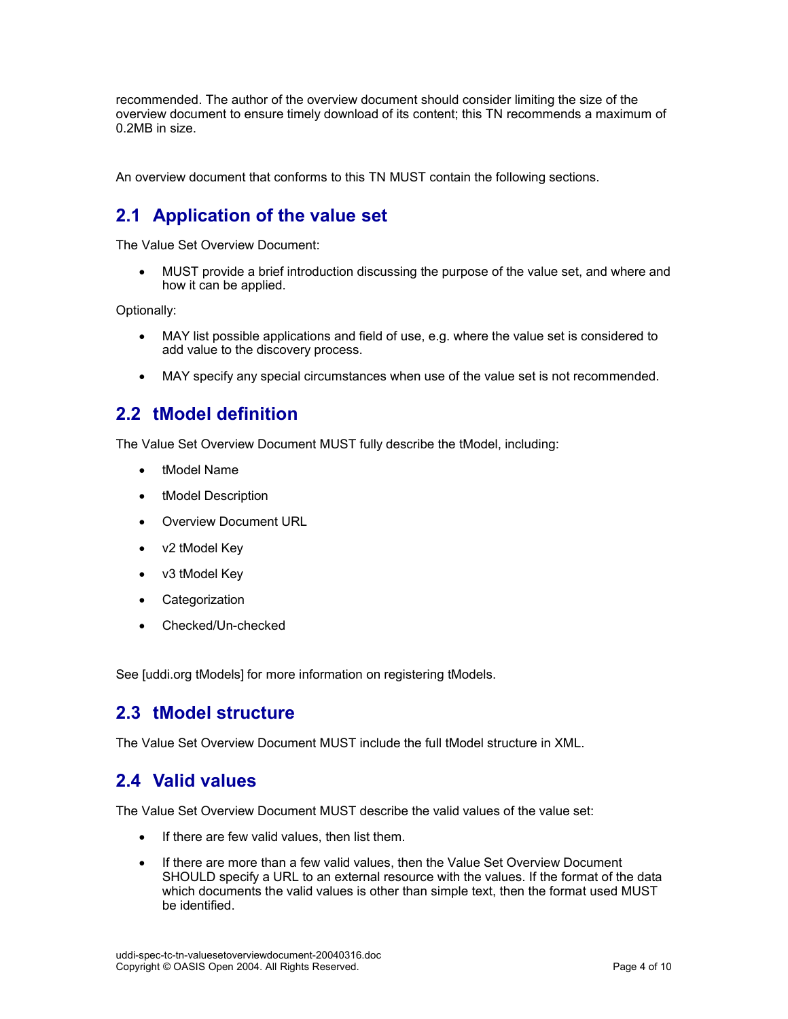recommended. The author of the overview document should consider limiting the size of the overview document to ensure timely download of its content; this TN recommends a maximum of 0.2MB in size.

An overview document that conforms to this TN MUST contain the following sections.

## **2.1 Application of the value set**

The Value Set Overview Document:

 MUST provide a brief introduction discussing the purpose of the value set, and where and how it can be applied.

Optionally:

- MAY list possible applications and field of use, e.g. where the value set is considered to add value to the discovery process.
- MAY specify any special circumstances when use of the value set is not recommended.

### **2.2 tModel definition**

The Value Set Overview Document MUST fully describe the tModel, including:

- tModel Name
- tModel Description
- Overview Document URL
- v2 tModel Key
- v3 tModel Key
- Categorization
- Checked/Un-checked

See [uddi.org tModels] for more information on registering tModels.

### **2.3 tModel structure**

The Value Set Overview Document MUST include the full tModel structure in XML.

### **2.4 Valid values**

The Value Set Overview Document MUST describe the valid values of the value set:

- If there are few valid values, then list them.
- If there are more than a few valid values, then the Value Set Overview Document SHOULD specify a URL to an external resource with the values. If the format of the data which documents the valid values is other than simple text, then the format used MUST be identified.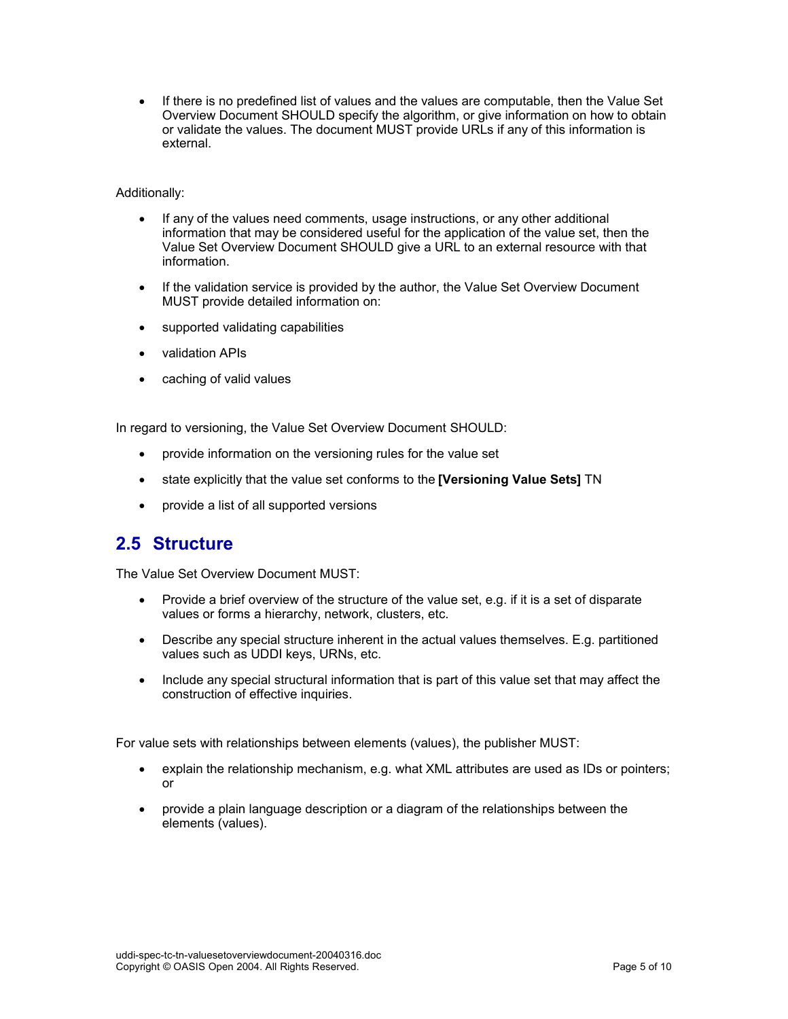• If there is no predefined list of values and the values are computable, then the Value Set Overview Document SHOULD specify the algorithm, or give information on how to obtain or validate the values. The document MUST provide URLs if any of this information is external.

### Additionally:

- If any of the values need comments, usage instructions, or any other additional information that may be considered useful for the application of the value set, then the Value Set Overview Document SHOULD give a URL to an external resource with that information.
- If the validation service is provided by the author, the Value Set Overview Document MUST provide detailed information on:
- supported validating capabilities
- validation APIs
- caching of valid values

In regard to versioning, the Value Set Overview Document SHOULD:

- provide information on the versioning rules for the value set
- state explicitly that the value set conforms to the **[Versioning Value Sets]** TN
- provide a list of all supported versions

### **2.5 Structure**

The Value Set Overview Document MUST:

- Provide a brief overview of the structure of the value set, e.g. if it is a set of disparate values or forms a hierarchy, network, clusters, etc.
- Describe any special structure inherent in the actual values themselves. E.g. partitioned values such as UDDI keys, URNs, etc.
- Include any special structural information that is part of this value set that may affect the construction of effective inquiries.

For value sets with relationships between elements (values), the publisher MUST:

- explain the relationship mechanism, e.g. what XML attributes are used as IDs or pointers; or
- provide a plain language description or a diagram of the relationships between the elements (values).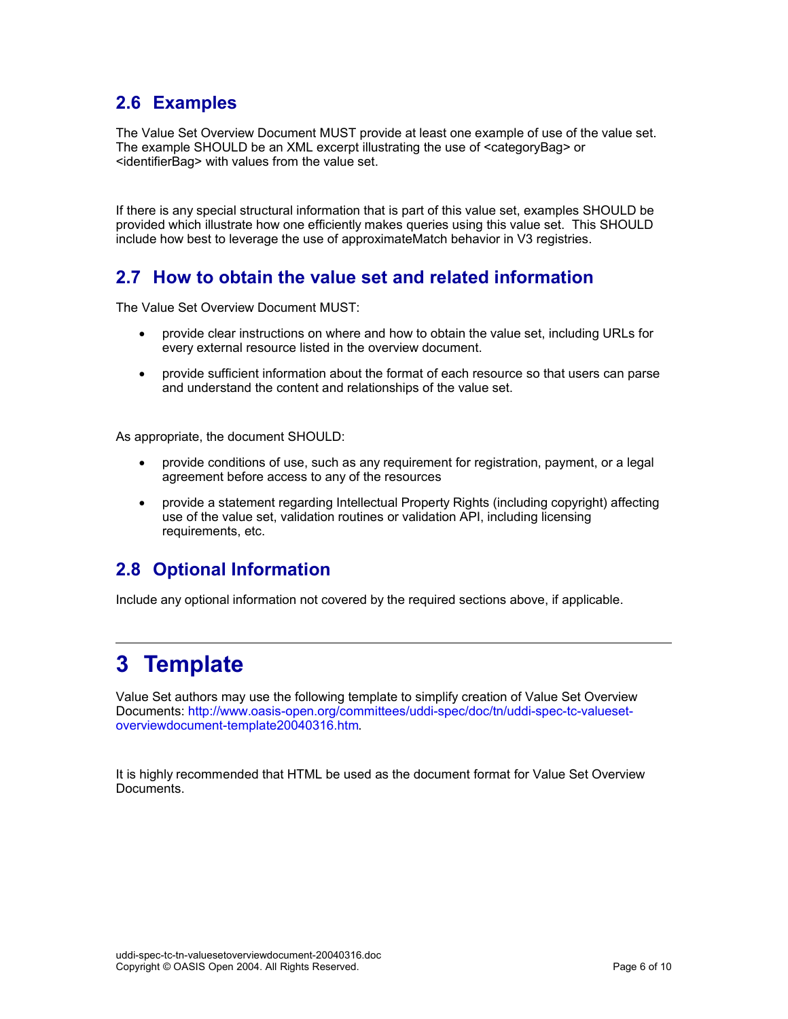## **2.6 Examples**

The Value Set Overview Document MUST provide at least one example of use of the value set. The example SHOULD be an XML excerpt illustrating the use of <categoryBag> or <identifierBag> with values from the value set.

If there is any special structural information that is part of this value set, examples SHOULD be provided which illustrate how one efficiently makes queries using this value set. This SHOULD include how best to leverage the use of approximateMatch behavior in V3 registries.

## **2.7 How to obtain the value set and related information**

The Value Set Overview Document MUST:

- provide clear instructions on where and how to obtain the value set, including URLs for every external resource listed in the overview document.
- provide sufficient information about the format of each resource so that users can parse and understand the content and relationships of the value set.

As appropriate, the document SHOULD:

- provide conditions of use, such as any requirement for registration, payment, or a legal agreement before access to any of the resources
- provide a statement regarding Intellectual Property Rights (including copyright) affecting use of the value set, validation routines or validation API, including licensing requirements, etc.

## **2.8 Optional Information**

Include any optional information not covered by the required sections above, if applicable.

## **3 Template**

Value Set authors may use the following template to simplify creation of Value Set Overview Documents: http://www.oasis-open.org/committees/uddi-spec/doc/tn/uddi-spec-tc-valuesetoverviewdocument-template20040316.htm.

It is highly recommended that HTML be used as the document format for Value Set Overview Documents.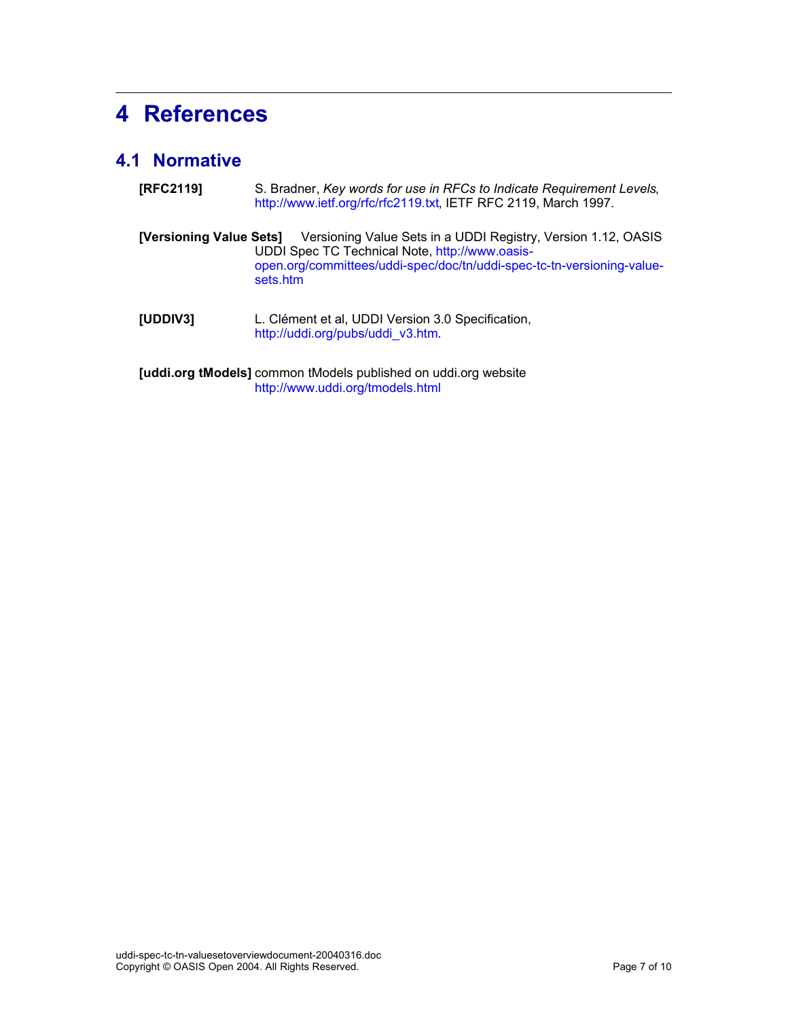# **4 References**

## **4.1 Normative**

| [RFC2119]                                                       | S. Bradner, Key words for use in RFCs to Indicate Requirement Levels,<br>http://www.ietf.org/rfc/rfc2119.txt, IETF RFC 2119, March 1997.                                                              |  |  |  |
|-----------------------------------------------------------------|-------------------------------------------------------------------------------------------------------------------------------------------------------------------------------------------------------|--|--|--|
| [Versioning Value Sets]                                         | Versioning Value Sets in a UDDI Registry, Version 1.12, OASIS<br>UDDI Spec TC Technical Note, http://www.oasis-<br>open.org/committees/uddi-spec/doc/tn/uddi-spec-tc-tn-versioning-value-<br>sets.htm |  |  |  |
| [UDDIV3]                                                        | L. Clément et al, UDDI Version 3.0 Specification,<br>http://uddi.org/pubs/uddi v3.htm.                                                                                                                |  |  |  |
| [uddi.org tModels] common tModels published on uddi.org website |                                                                                                                                                                                                       |  |  |  |

http://www.uddi.org/tmodels.html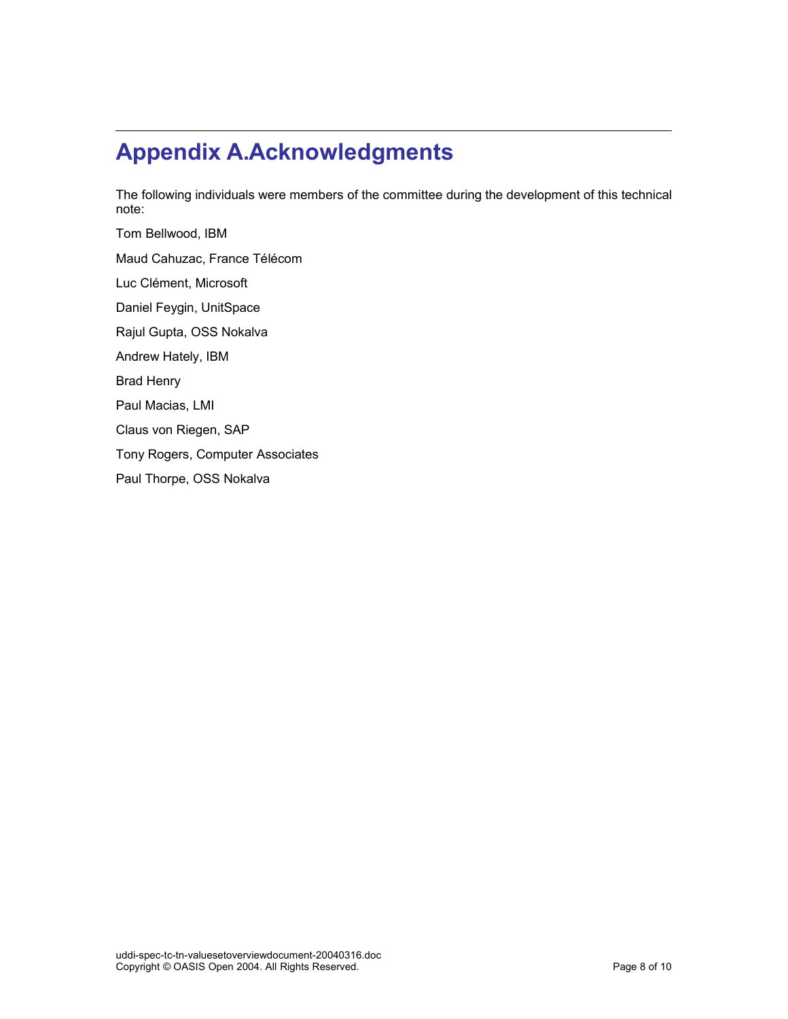# **Appendix A.Acknowledgments**

The following individuals were members of the committee during the development of this technical note:

Tom Bellwood, IBM Maud Cahuzac, France Télécom Luc Clément, Microsoft Daniel Feygin, UnitSpace Rajul Gupta, OSS Nokalva Andrew Hately, IBM Brad Henry Paul Macias, LMI Claus von Riegen, SAP Tony Rogers, Computer Associates Paul Thorpe, OSS Nokalva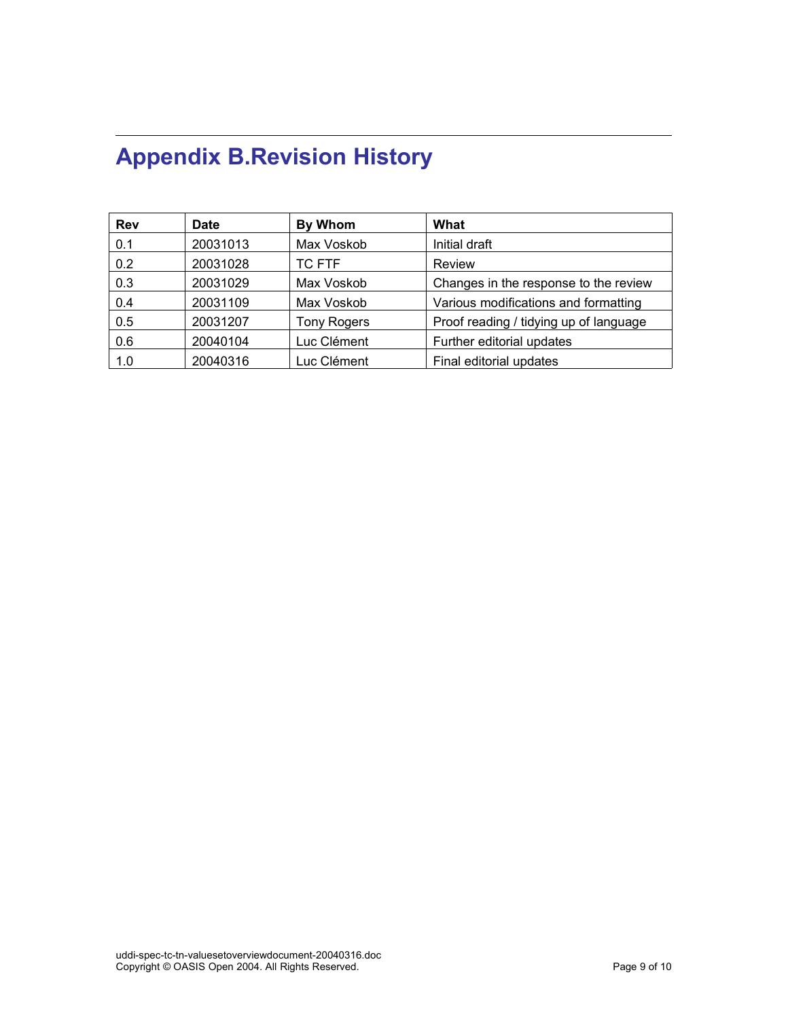# **Appendix B.Revision History**

| <b>Rev</b> | <b>Date</b> | By Whom            | What                                   |
|------------|-------------|--------------------|----------------------------------------|
| 0.1        | 20031013    | Max Voskob         | Initial draft                          |
| 0.2        | 20031028    | <b>TC FTF</b>      | Review                                 |
| 0.3        | 20031029    | Max Voskob         | Changes in the response to the review  |
| 0.4        | 20031109    | Max Voskob         | Various modifications and formatting   |
| 0.5        | 20031207    | <b>Tony Rogers</b> | Proof reading / tidying up of language |
| 0.6        | 20040104    | Luc Clément        | Further editorial updates              |
| 1.0        | 20040316    | Luc Clément        | Final editorial updates                |